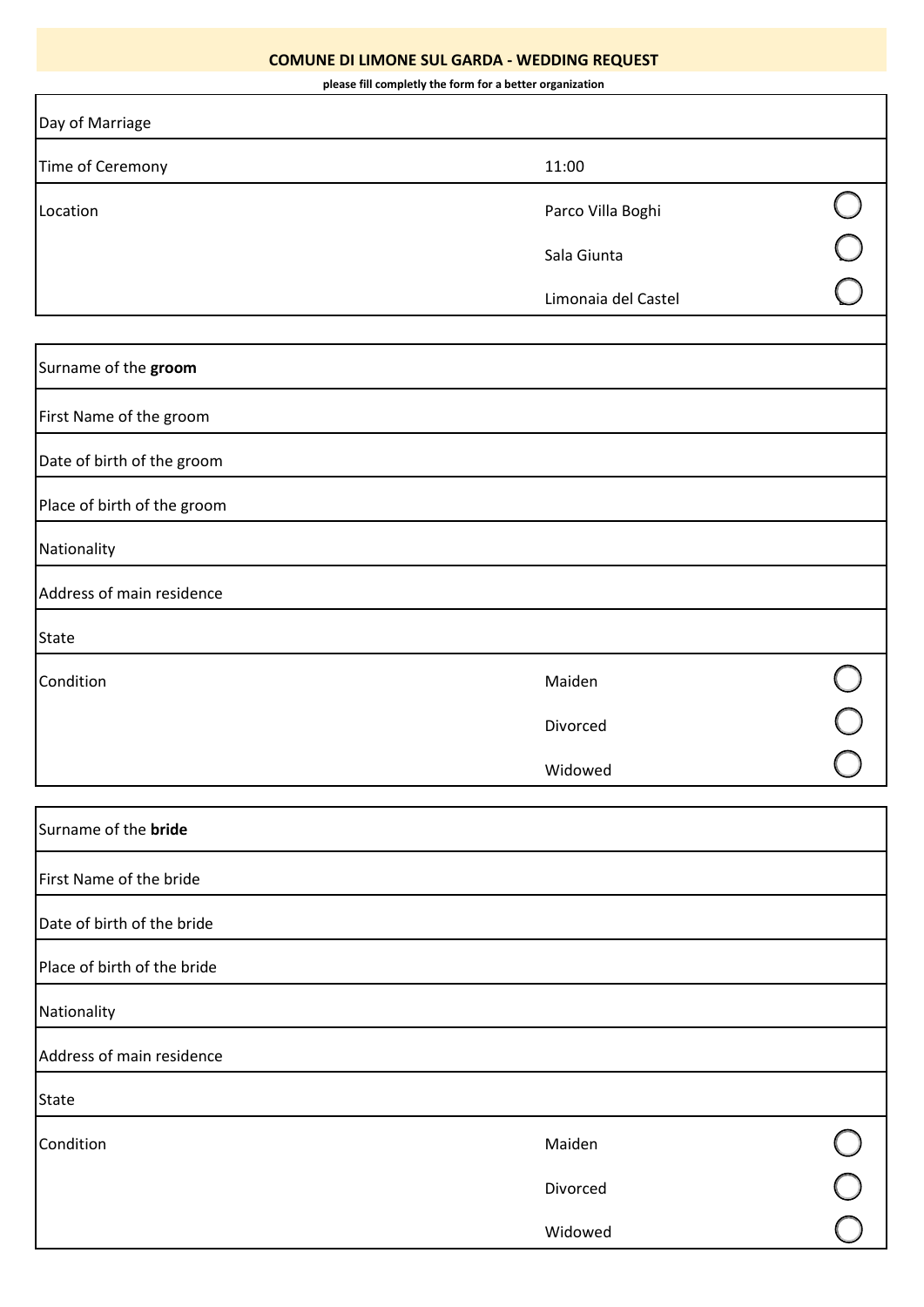## **COMUNE DI LIMONE SUL GARDA - WEDDING REQUEST**

**please fill completly the form for a better organization**

| Day of Marriage             |                     |  |
|-----------------------------|---------------------|--|
| Time of Ceremony            | 11:00               |  |
| Location                    | Parco Villa Boghi   |  |
|                             | Sala Giunta         |  |
|                             | Limonaia del Castel |  |
|                             |                     |  |
| Surname of the groom        |                     |  |
| First Name of the groom     |                     |  |
| Date of birth of the groom  |                     |  |
| Place of birth of the groom |                     |  |
| Nationality                 |                     |  |
| Address of main residence   |                     |  |
| <b>State</b>                |                     |  |
| Condition                   | Maiden              |  |
|                             | Divorced            |  |
|                             | Widowed             |  |
| Surname of the bride        |                     |  |
| First Name of the bride     |                     |  |
| Date of birth of the bride  |                     |  |
| Place of birth of the bride |                     |  |
| Nationality                 |                     |  |
| Address of main residence   |                     |  |
|                             |                     |  |
| <b>State</b>                |                     |  |
| Condition                   | Maiden              |  |
|                             | Divorced            |  |
|                             | Widowed             |  |